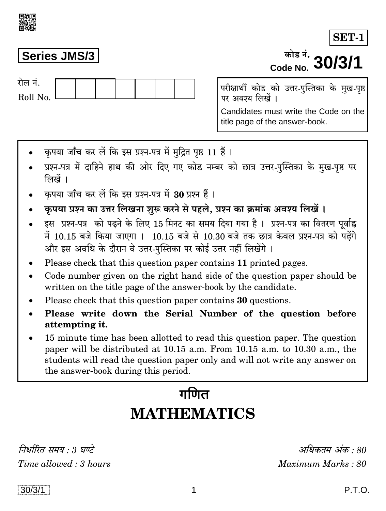$30/3/1$ 

अधिकतम् अंक  $\cdot$  80

Maximum Marks: 80

### **Series JMS/3**

गेल नं Roll No.

परीक्षार्थी कोड को उत्तर-पुस्तिका के मुख-पृष्ठ पर अवश्य लिखें ।

Candidates must write the Code on the title page of the answer-book.

- कृपया जाँच कर लें कि इस प्रश्न-पत्र में मुद्रित पृष्ठ 11 हैं।
- प्रश्न-पत्र में दाहिने हाथ की ओर दिए गए कोड नम्बर को छात्र उत्तर-पुस्तिका के मुख-पृष्ठ पर लिखें ।
- कृपया जाँच कर लें कि इस प्रश्न-पत्र में 30 प्रश्न हैं ।
- कृपया प्रश्न का उत्तर लिखना शुरू करने से पहले, प्रश्न का क्रमांक अवश्य लिखें।
- इस प्रश्न-पत्र को पढ़ने के लिए 15 मिनट का समय दिया गया है। प्रश्न-पत्र का वितरण पूर्वाह्न में 10.15 बजे किया जाएगा । 10.15 बजे से 10.30 बजे तक छात्र केवल प्रश्न-पत्र को पढेंगे और इस अवधि के दौरान वे उत्तर-पुस्तिका पर कोई उत्तर नहीं लिखेंगे ।
- Please check that this question paper contains 11 printed pages.
- Code number given on the right hand side of the question paper should be written on the title page of the answer-book by the candidate.
- Please check that this question paper contains 30 questions.
- Please write down the Serial Number of the question before attempting it.
- 15 minute time has been allotted to read this question paper. The question paper will be distributed at 10.15 a.m. From 10.15 a.m. to 10.30 a.m., the students will read the question paper only and will not write any answer on the answer-book during this period.

## $\pi$ णित **MATHEMATICS**

निर्धारित समय  $\cdot$  3 घण्टे Time allowed : 3 hours



# $\frac{1000 \text{ m/s}}{1000 \text{ N}}$  30/3/1

**SET-1**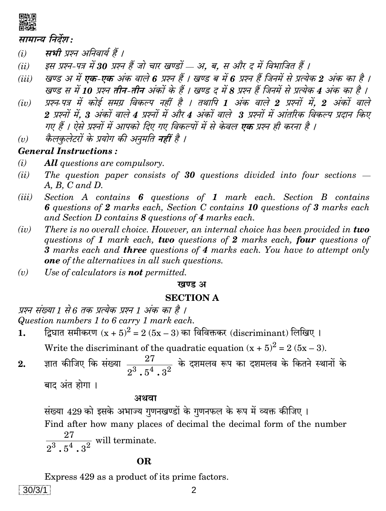

#### सामान्य निर्देश:

- सभी प्रश्न अनिवार्य हैं ।  $(i)$
- इस प्रश्न-पत्र में 30 प्रश्न हैं जो चार खण्डों ... अ. ब. स और द में विभाजित हैं ।  $(ii)$
- खण्ड अ में एक-एक अंक वाले 6 प्रश्न हैं । खण्ड ब में 6 प्रश्न हैं जिनमें से प्रत्येक 2 अंक का है ।  $(iii)$ खण्ड स में 10 प्रश्न तीन-तीन अंकों के हैं । खण्ड द में 8 प्रश्न हैं जिनमें से प्रत्येक 4 अंक का है ।
- प्रश्न पत्र में कोई समग्र विकल्प नहीं है । तथापि 1 अंक वाले 2 प्रश्नों में, 2 अंकों वाले  $(iv)$ 2 प्रश्नों में. 3 अंकों वाले 4 प्रश्नों में और 4 अंकों वाले 3 प्रश्नों में आंतरिक विकल्प प्रदान किए गए हैं । ऐसे प्रश्नों में आपको दिए गए विकल्पों में से केवल **एक** प्रश्न ही करना है ।
- कैलकुलेटरों के प्रयोग की अनुमति नहीं है ।  $(v)$

#### **General Instructions:**

- $(i)$ **All** questions are compulsory.
- The question paper consists of 30 questions divided into four sections  $(ii)$  $A, B, C \text{ and } D.$
- Section A contains 6 questions of 1 mark each. Section B contains  $(iii)$ 6 questions of 2 marks each, Section C contains 10 questions of 3 marks each and Section D contains 8 questions of 4 marks each.
- There is no overall choice. However, an internal choice has been provided in two  $(iv)$ questions of 1 mark each, two questions of 2 marks each, four questions of 3 marks each and **three** questions of 4 marks each. You have to attempt only **one** of the alternatives in all such questions.
- Use of calculators is **not** permitted.  $(v)$

#### खण्ड अ

### **SECTION A**

प्रश्न संख्या 1 से 6 तक प्रत्येक प्रश्न 1 अंक का है । Question numbers 1 to 6 carry 1 mark each.

द्विघात समीकरण  $(x + 5)^2 = 2(5x - 3)$  का विविक्तकर (discriminant) लिखिए ।  $\mathbf{1}$ .

Write the discriminant of the quadratic equation  $(x + 5)^2 = 2(5x - 3)$ .

ज्ञात कीजिए कि संख्या  $\frac{27}{2^3}$   $\frac{1}{6^4}$   $\frac{1}{2^2}$  के दशमलव रूप का दशमलव के कितने स्थानों के  $2.$ 

बाद अंत होगा ।

#### अथवा

संख्या 429 को इसके अभाज्य गुणनखण्डों के गुणनफल के रूप में व्यक्त कीजिए । Find after how many places of decimal the decimal form of the number  $\frac{27}{2^3 \cdot 5^4 \cdot 3^2}$  will terminate.

#### **OR**

Express 429 as a product of its prime factors.  $30/3/1$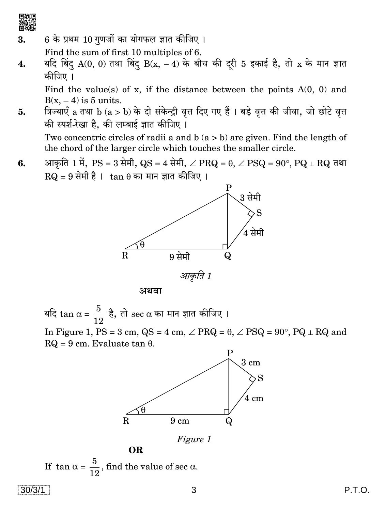

6 के प्रथम 10 गणजों का योगफल ज्ञात कीजिए। 3.

Find the sum of first 10 multiples of 6.

यदि बिंदु A(0, 0) तथा बिंदु B(x,  $-4$ ) के बीच की दूरी 5 इकाई है, तो x के मान ज्ञात 4. कीजिए ।

Find the value(s) of x, if the distance between the points  $A(0, 0)$  and  $B(x, -4)$  is 5 units.

त्रिज्याएँ a तथा b (a > b) के दो संकेन्द्री वृत्त दिए गए हैं । बड़े वृत्त की जीवा, जो छोटे वृत्त 5. की स्पर्श-रेखा है, की लम्बाई ज्ञात कीजिए ।

Two concentric circles of radii a and  $b(a > b)$  are given. Find the length of the chord of the larger circle which touches the smaller circle.

आकृति 1 में, PS = 3 सेमी, QS = 4 सेमी,  $\angle$  PRQ =  $\theta$ ,  $\angle$  PSQ =  $90^{\circ}$ , PQ  $\perp$  RQ तथा 6.  $RQ = 9$  सेमी है ।  $tan \theta$  का मान ज्ञात कीजिए ।



आकृति 1

अथवा

यदि  $\tan \alpha = \frac{5}{12}$  है, तो sec  $\alpha$  का मान ज्ञात कीजिए । In Figure 1, PS = 3 cm, QS = 4 cm,  $\angle$  PRQ =  $\theta$ ,  $\angle$  PSQ = 90°, PQ  $\perp$  RQ and  $RQ = 9$  cm. Evaluate tan  $\theta$ .





If  $\tan \alpha = \frac{5}{19}$ , find the value of sec  $\alpha$ .

**OR**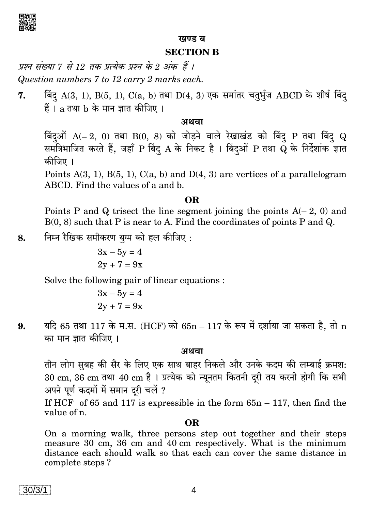

#### खण्ड ब

#### **SECTION B**

प्रश्न संख्या 7 से 12 तक प्रत्येक प्रश्न के 2 अंक हैं । Question numbers 7 to 12 carry 2 marks each.

बिंदु A(3, 1), B(5, 1), C(a, b) तथा D(4, 3) एक समांतर चतुर्भुज ABCD के शीर्ष बिंद 7.  $\ddot{\vec{a}}$  । a तथा  $\bf{b}$  के मान ज्ञात कीजिए ।

#### अथवा

बिंदुओं  $A(-2, 0)$  तथा  $B(0, 8)$  को जोड़ने वाले रेखाखंड को बिंदु P तथा बिंदु Q समंत्रिभाजित करते हैं, जहाँ P बिंदु A के निकट है । बिंदुओं P तथा Q के निर्देशांक ज्ञात कीजिए ।

Points  $A(3, 1)$ ,  $B(5, 1)$ ,  $C(a, b)$  and  $D(4, 3)$  are vertices of a parallelogram ABCD. Find the values of a and b.

#### **OR**

Points P and Q trisect the line segment joining the points  $A(-2, 0)$  and  $B(0, 8)$  such that P is near to A. Find the coordinates of points P and Q.

निम्न रैखिक समीकरण युग्म को हल कीजिए: 8.

$$
3x - 5y = 4
$$
  

$$
2y + 7 = 9x
$$

Solve the following pair of linear equations :

$$
3x - 5y = 4
$$
  

$$
2y + 7 = 9x
$$

यदि 65 तथा 117 के म.स. (HCF) को 65n - 117 के रूप में दर्शाया जा सकता है, तो n 9. का मान ज्ञात कीजिए ।

#### अथवा

तीन लोग सुबह की सैर के लिए एक साथ बाहर निकले और उनके कदम की लम्बाई क्रमश: 30 cm, 36 cm तथा 40 cm है । प्रत्येक को न्यूनतम कितनी दूरी तय करनी होगी कि सभी अपने पूर्ण कदमों में समान दरी चलें ?

If HCF of 65 and 117 is expressible in the form  $65n - 117$ , then find the value of n.

#### OR.

On a morning walk, three persons step out together and their steps measure 30 cm, 36 cm and 40 cm respectively. What is the minimum distance each should walk so that each can cover the same distance in complete steps?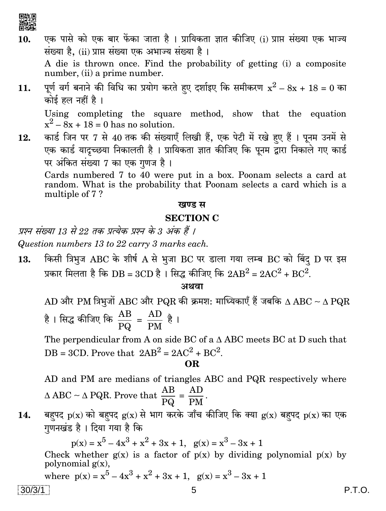- एक पासे को एक बार फेंका जाता है । प्रायिकता ज्ञात कीजिए (i) प्राप्त संख्या एक भाज्य 10. संख्या है. (ii) प्राप्त संख्या एक अभाज्य संख्या है। A die is thrown once. Find the probability of getting (i) a composite number, (ii) a prime number.
- पूर्ण वर्ग बनाने की विधि का प्रयोग करते हुए दर्शाइए कि समीकरण  $x^2 8x + 18 = 0$  का  $11.$ कोई हल नहीं है।

Using completing the square method, show that the equation  $x^2 - 8x + 18 = 0$  has no solution.

कार्ड जिन पर 7 से 40 तक की संख्याएँ लिखी हैं, एक पेटी में रखे हुए हैं । पूनम उनमें से 12. एक कार्ड यादृच्छया निकालती है । प्रायिकता ज्ञात कीजिए कि पूनम द्वारा निकाले गए कार्ड पर अंकित संख्या 7 का एक गणज है।

Cards numbered 7 to 40 were put in a box. Poonam selects a card at random. What is the probability that Poonam selects a card which is a multiple of 7?

#### खण्ड स

#### **SECTION C**

प्रश्न संख्या 13 से 22 तक प्रत्येक प्रश्न के 3 अंक हैं ।

Question numbers 13 to 22 carry 3 marks each.

किसी त्रिभुज ABC के शीर्ष A से भुजा BC पर डाला गया लम्ब BC को बिंद D पर इस 13. प्रकार मिलता है कि DB = 3CD है। सिद्ध कीजिए कि  $2AB^2 = 2AC^2 + BC^2$ .

#### अथवा

AD और PM त्रिभुजों ABC और PQR की क्रमश: माध्यिकाएँ हैं जबकि  $\Delta$  ABC ~  $\Delta$  PQR है । सिद्ध कीजिए कि  $\frac{AB}{PQ} = \frac{AD}{PM}$  है ।

The perpendicular from A on side BC of a  $\triangle$  ABC meets BC at D such that DB = 3CD. Prove that  $2AB^2 = 2AC^2 + BC^2$ .

**OR** 

AD and PM are medians of triangles ABC and PQR respectively where  $\triangle$  ABC ~  $\triangle$  PQR. Prove that  $\frac{AB}{PQ} = \frac{AD}{PM}$ .

बहुपद  $p(x)$  को बहुपद  $g(x)$  से भाग करके जाँच कीजिए कि क्या  $g(x)$  बहुपद  $p(x)$  का एक 14. गणनखंड है। दिया गया है कि

 $p(x) = x^5 - 4x^3 + x^2 + 3x + 1$ ,  $g(x) = x^3 - 3x + 1$ Check whether  $g(x)$  is a factor of  $p(x)$  by dividing polynomial  $p(x)$  by polynomial  $g(x)$ ,

where 
$$
p(x) = x^5 - 4x^3 + x^2 + 3x + 1
$$
,  $g(x) = x^3 - 3x + 1$ 

 $30/3/1$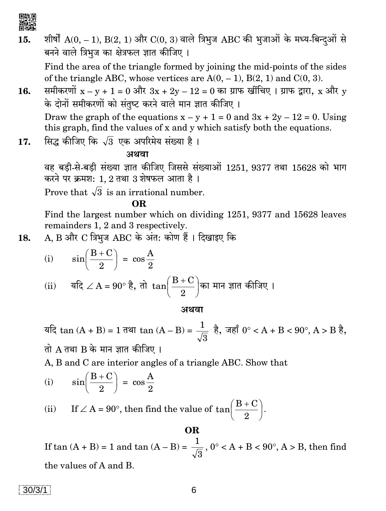

शीर्षों  $A(0, -1)$ ,  $B(2, 1)$  और  $C(0, 3)$  वाले त्रिभुज ABC की भुजाओं के मध्य-बिन्दुओं से 15. बनने वाले त्रिभुज का क्षेत्रफल ज्ञात कीजिए। Find the area of the triangle formed by joining the mid-points of the sides

of the triangle ABC, whose vertices are  $A(0, -1)$ ,  $B(2, 1)$  and  $C(0, 3)$ .

- समीकरणों  $x y + 1 = 0$  और  $3x + 2y 12 = 0$  का ग्राफ खींचिए । ग्राफ द्वारा, x और y 16. के दोनों समीकरणों को संतष्ट करने वाले मान ज्ञात कीजिए। Draw the graph of the equations  $x - y + 1 = 0$  and  $3x + 2y - 12 = 0$ . Using this graph, find the values of x and y which satisfy both the equations.
- सिद्ध कीजिए कि  $\sqrt{3}$  एक अपरिमेय संख्या है। 17.

#### अथवा

वह बड़ी-से-बड़ी संख्या ज्ञात कीजिए जिससे संख्याओं 1251, 9377 तथा 15628 को भाग करने पर क्रमश: 1, 2 तथा 3 शेषफल आता है।

Prove that  $\sqrt{3}$  is an irrational number.

OR.

Find the largest number which on dividing 1251, 9377 and 15628 leaves remainders 1, 2 and 3 respectively.

A, B और C त्रिभुज ABC के अंत: कोण हैं । दिखाइए कि 18.

(i) 
$$
\sin\left(\frac{B+C}{2}\right) = \cos\frac{A}{2}
$$

(ii) 
$$
\mathfrak{A} = 90^\circ \, \mathfrak{k}, \, \mathfrak{A} \, \tan\left(\frac{B+C}{2}\right)
$$
का मान ज्ञात कीजिए ।

#### अथवा

यदि tan  $(A + B) = 1$  तथा tan  $(A - B) = \frac{1}{\sqrt{3}}$  है, जहाँ 0° < A + B < 90°, A > B है,

तो A तथा B के मान ज्ञात कीजिए।

A, B and C are interior angles of a triangle ABC. Show that

 $\sin\left(\frac{B+C}{2}\right) = \cos\frac{A}{2}$  $(i)$ 

If  $\angle A = 90^\circ$ , then find the value of  $\tan\left(\frac{B+C}{2}\right)$ .  $(ii)$ 

### If tan  $(A + B) = 1$  and tan  $(A - B) = \frac{1}{\sqrt{3}}$ ,  $0^{\circ} < A + B < 90^{\circ}$ ,  $A > B$ , then find the values of A and B.

OR.

 $30/3/1$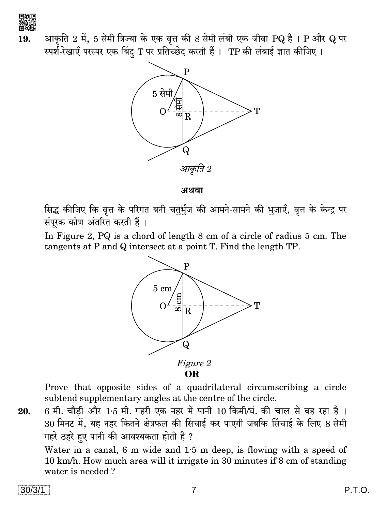

आकृति 2 में, 5 सेमी त्रिज्या के एक वृत्त की 8 सेमी लंबी एक जीवा PQ है । P और Q पर 19. स्पर्श-रेखाएँ परस्पर एक बिंद T पर प्रतिच्छेद करती हैं। TP की लंबाई ज्ञात कीजिए।



अथवा

सिद्ध कीजिए कि वृत्त के परिगत बनी चतुर्भुज की आमने-सामने की भुजाएँ, वृत्त के केन्द्र पर संपूरक कोण अंतरित करती हैं।

In Figure 2, PQ is a chord of length 8 cm of a circle of radius 5 cm. The tangents at P and Q intersect at a point T. Find the length TP.



Prove that opposite sides of a quadrilateral circumscribing a circle subtend supplementary angles at the centre of the circle.

6 मी. चौड़ी और 1.5 मी. गहरी एक नहर में पानी 10 किमी/घं. की चाल से बह रहा है। 20. 30 मिनट में, यह नहर कितने क्षेत्रफल की सिंचाई कर पाएगी जबकि सिंचाई के लिए 8 सेमी गहरे ठहरे हुए पानी की आवश्यकता होती है ?

Water in a canal, 6 m wide and  $1.5$  m deep, is flowing with a speed of 10 km/h. How much area will it irrigate in 30 minutes if 8 cm of standing water is needed?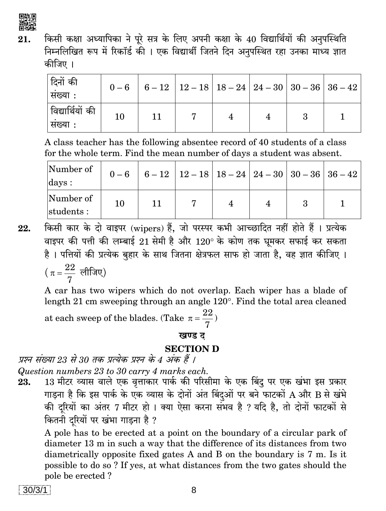

किसी कक्षा अध्यापिका ने पूरे सत्र के लिए अपनी कक्षा के 40 विद्यार्थियों की अनुपस्थिति 21. निम्नलिखित रूप में रिकॉर्ड की । एक विद्यार्थी जितने दिन अनुपस्थित रहा उनका माध्य ज्ञात कीजिए ।

| दिनों की<br>  सख्या :        |    | $0-6$   6 - 12   12 - 18   18 - 24   24 - 30   30 - 36   36 - 42 |  |  |
|------------------------------|----|------------------------------------------------------------------|--|--|
| विद्यार्थियों की<br> सख्या : | 10 |                                                                  |  |  |

A class teacher has the following absentee record of 40 students of a class for the whole term. Find the mean number of days a student was absent.

| Number of<br>$_{\rm days}$ : |    |  | $0-6$   6 - 12   12 - 18   18 - 24   24 - 30   30 - 36   36 - 42 |  |
|------------------------------|----|--|------------------------------------------------------------------|--|
| Number of<br>students:       | 10 |  |                                                                  |  |

किसी कार के दो वाइपर (wipers) हैं, जो परस्पर कभी आच्छादित नहीं होते हैं । प्रत्येक 22. वाइपर की पत्ती की लम्बाई 21 सेमी है और 120° के कोण तक घुमकर सफाई कर सकता है। पत्तियों की प्रत्येक बृहार के साथ जितना क्षेत्रफल साफ हो जाता है, वह ज्ञात कीजिए।  $\left(\pi=\frac{22}{7}\right.$  लीजिए)

A car has two wipers which do not overlap. Each wiper has a blade of length 21 cm sweeping through an angle 120°. Find the total area cleaned

at each sweep of the blades. (Take  $\pi = \frac{22}{7}$ )

#### खण्ड ट

#### **SECTION D**

प्रश्न संख्या 23 से 30 तक प्रत्येक प्रश्न के 4 अंक हैं ।

Question numbers 23 to 30 carry 4 marks each.

13 मीटर व्यास वाले एक वृत्ताकार पार्क की परिसीमा के एक बिंद पर एक खंभा इस प्रकार 23. गाड़ना है कि इस पार्क के एक व्यास के दोनों अंत बिंदुओं पर बने फाटकों A और B से खंभे की दूरियों का अंतर 7 मीटर हो । क्या ऐसा करना संभव है ? यदि है, तो दोनों फाटकों से कितनी दूरियों पर खंभा गाड़ना है ?

A pole has to be erected at a point on the boundary of a circular park of diameter 13 m in such a way that the difference of its distances from two diametrically opposite fixed gates A and B on the boundary is 7 m. Is it possible to do so ? If yes, at what distances from the two gates should the pole be erected?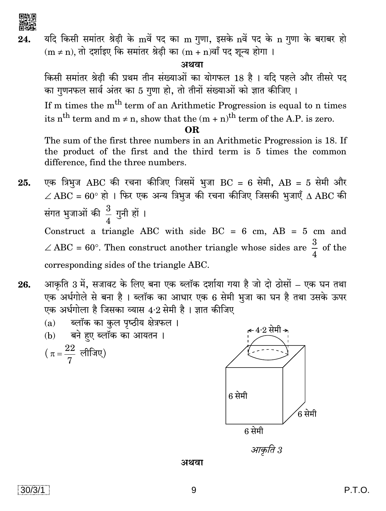

यदि किसी समांतर श्रेढी के mवें पद का m गुणा, इसके nवें पद के n गुणा के बराबर हो 24.  $(m \neq n)$ , तो दर्शाइए कि समांतर श्रेढी का  $(m + n)$ वाँ पद शून्य होगा।

अथवा

किसी समांतर श्रेढी की प्रथम तीन संख्याओं का योगफल 18 है। यदि पहले और तीसरे पद का गुणनफल सार्व अंतर का 5 गुणा हो, तो तीनों संख्याओं को ज्ञात कीजिए।

If m times the m<sup>th</sup> term of an Arithmetic Progression is equal to n times its n<sup>th</sup> term and m  $\neq$  n, show that the  $(m + n)$ <sup>th</sup> term of the A.P. is zero.

The sum of the first three numbers in an Arithmetic Progression is 18. If the product of the first and the third term is 5 times the common difference, find the three numbers.

एक त्रिभुज ABC की रचना कीजिए जिसमें भुजा BC = 6 सेमी, AB = 5 सेमी और 25.  $\angle$  ABC = 60° हो । फिर एक अन्य त्रिभुज की रचना कीजिए जिसकी भुजाएँ  $\Delta$  ABC की संगत भुजाओं की  $\frac{3}{4}$  गुनी हों । Construct a triangle ABC with side BC =  $6 \text{ cm}$ , AB =  $5 \text{ cm}$  and  $\angle$  ABC = 60°. Then construct another triangle whose sides are  $\frac{3}{4}$  of the

corresponding sides of the triangle ABC.

आकृति 3 में, सजावट के लिए बना एक ब्लॉक दर्शाया गया है जो दो ठोसों – एक घन तथा 26. एक अर्धगोले से बना है। ब्लॉक का आधार एक 6 सेमी भूजा का घन है तथा उसके ऊपर एक अर्धगोला है जिसका व्यास 4.2 सेमी है। ज्ञात कीजिए





 $\rm \acute{\text{o}}$  सेमी

अथवा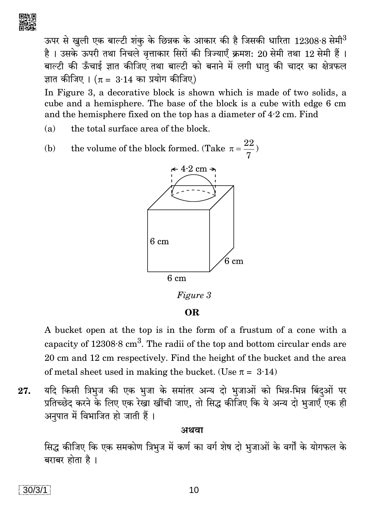

ऊपर से खुली एक बाल्टी शंक के छिन्नक के आकार की है जिसकी धारिता 12308·8 सेमी<sup>3</sup> है। उसके ऊपरी तथा निचले वृत्ताकार सिरों की त्रिज्याएँ क्रमश: 20 सेमी तथा 12 सेमी हैं। बाल्टी की ऊँचाई ज्ञात कीजिए तथा बाल्टी को बनाने में लगी धात की चादर का क्षेत्रफल ज्ञात कीजिए ।  $(\pi = 3.14$  का प्रयोग कीजिए)

In Figure 3, a decorative block is shown which is made of two solids, a cube and a hemisphere. The base of the block is a cube with edge 6 cm and the hemisphere fixed on the top has a diameter of 4.2 cm. Find

- the total surface area of the block.  $(a)$
- the volume of the block formed. (Take  $\pi = \frac{22}{7}$ ) (b)



Figure 3

**OR** 

A bucket open at the top is in the form of a frustum of a cone with a capacity of  $12308.8 \text{ cm}^3$ . The radii of the top and bottom circular ends are 20 cm and 12 cm respectively. Find the height of the bucket and the area of metal sheet used in making the bucket. (Use  $\pi = 3.14$ )

यदि किसी त्रिभुज की एक भुजा के समांतर अन्य दो भुजाओं को भिन्न-भिन्न बिंदुओं पर 27. प्रतिच्छेद करने के लिए एक रेखा खींची जाए, तो सिद्ध कीजिए कि ये अन्य दो भूजाएँ एक ही अनुपात में विभाजित हो जाती हैं।

#### अथवा

सिद्ध कीजिए कि एक समकोण त्रिभूज में कर्ण का वर्ग शेष दो भूजाओं के वर्गों के योगफल के बराबर होता है ।